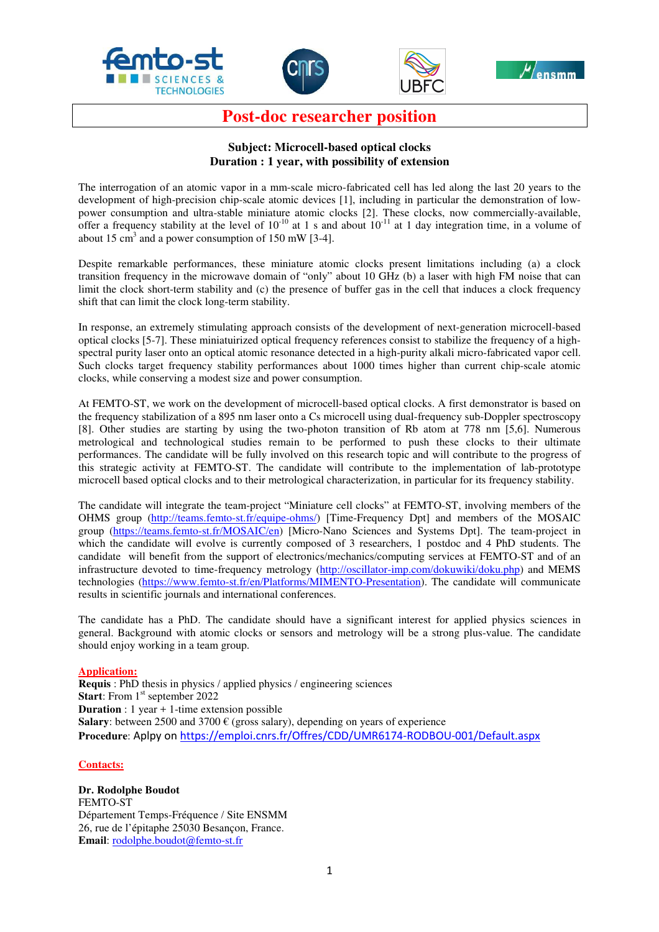







**Post-doc researcher position** 

## **Subject: Microcell-based optical clocks Duration : 1 year, with possibility of extension**

The interrogation of an atomic vapor in a mm-scale micro-fabricated cell has led along the last 20 years to the development of high-precision chip-scale atomic devices [1], including in particular the demonstration of lowpower consumption and ultra-stable miniature atomic clocks [2]. These clocks, now commercially-available, offer a frequency stability at the level of  $10^{-10}$  at 1 s and about  $10^{-11}$  at 1 day integration time, in a volume of about 15  $\text{cm}^3$  and a power consumption of 150 mW [3-4].

Despite remarkable performances, these miniature atomic clocks present limitations including (a) a clock transition frequency in the microwave domain of "only" about 10 GHz (b) a laser with high FM noise that can limit the clock short-term stability and (c) the presence of buffer gas in the cell that induces a clock frequency shift that can limit the clock long-term stability.

In response, an extremely stimulating approach consists of the development of next-generation microcell-based optical clocks [5-7]. These miniatuirized optical frequency references consist to stabilize the frequency of a highspectral purity laser onto an optical atomic resonance detected in a high-purity alkali micro-fabricated vapor cell. Such clocks target frequency stability performances about 1000 times higher than current chip-scale atomic clocks, while conserving a modest size and power consumption.

At FEMTO-ST, we work on the development of microcell-based optical clocks. A first demonstrator is based on the frequency stabilization of a 895 nm laser onto a Cs microcell using dual-frequency sub-Doppler spectroscopy [8]. Other studies are starting by using the two-photon transition of Rb atom at 778 nm [5,6]. Numerous metrological and technological studies remain to be performed to push these clocks to their ultimate performances. The candidate will be fully involved on this research topic and will contribute to the progress of this strategic activity at FEMTO-ST. The candidate will contribute to the implementation of lab-prototype microcell based optical clocks and to their metrological characterization, in particular for its frequency stability.

The candidate will integrate the team-project "Miniature cell clocks" at FEMTO-ST, involving members of the OHMS group (http://teams.femto-st.fr/equipe-ohms/) [Time-Frequency Dpt] and members of the MOSAIC group (https://teams.femto-st.fr/MOSAIC/en) [Micro-Nano Sciences and Systems Dpt]. The team-project in which the candidate will evolve is currently composed of 3 researchers, 1 postdoc and 4 PhD students. The candidate will benefit from the support of electronics/mechanics/computing services at FEMTO-ST and of an infrastructure devoted to time-frequency metrology (http://oscillator-imp.com/dokuwiki/doku.php) and MEMS technologies (https://www.femto-st.fr/en/Platforms/MIMENTO-Presentation). The candidate will communicate results in scientific journals and international conferences.

The candidate has a PhD. The candidate should have a significant interest for applied physics sciences in general. Background with atomic clocks or sensors and metrology will be a strong plus-value. The candidate should enjoy working in a team group.

## **Application:**

**Requis** : PhD thesis in physics / applied physics / engineering sciences **Start:** From 1<sup>st</sup> september 2022 **Duration** : 1 year + 1-time extension possible **Salary**: between 2500 and 3700  $\epsilon$  (gross salary), depending on years of experience **Procedure**: Aplpy on https://emploi.cnrs.fr/Offres/CDD/UMR6174-RODBOU-001/Default.aspx

## **Contacts:**

**Dr. Rodolphe Boudot**  FEMTO-ST Département Temps-Fréquence / Site ENSMM 26, rue de l'épitaphe 25030 Besançon, France. **Email**: rodolphe.boudot@femto-st.fr